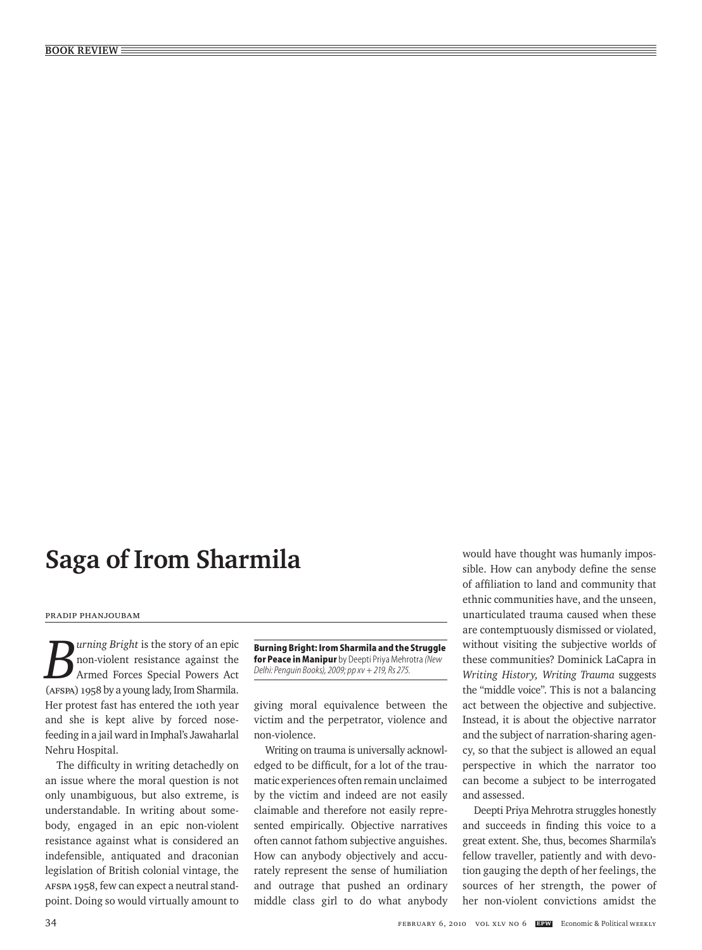## **Saga of Irom Sharmila**

## Pradip Phanjoubam

*Burning Bright* is the story of an epic non-violent resistance against the Armed Forces Special Powers Act (AFSPA) 1958 by a young lady, Irom Sharmila. Her protest fast has entered the 10th year and she is kept alive by forced nosefeeding in a jail ward in Imphal's Jawaharlal Nehru Hospital.

The difficulty in writing detachedly on an issue where the moral question is not only unambiguous, but also extreme, is understandable. In writing about somebody, engaged in an epic non-violent resistance against what is considered an indefensible, antiquated and draconian legislation of British colonial vintage, the AFSPA 1958, few can expect a neutral standpoint. Doing so would virtually amount to

**Burning Bright: Irom Sharmila and the Struggle for Peace in Manipur** by Deepti Priya Mehrotra*(New Delhi: Penguin Books), 2009; pp xv + 219, Rs 275.*

giving moral equivalence between the victim and the perpetrator, violence and non-violence.

Writing on trauma is universally acknowledged to be difficult, for a lot of the traumatic experiences often remain unclaimed by the victim and indeed are not easily claimable and therefore not easily represented empirically. Objective narratives often cannot fathom subjective anguishes. How can anybody objectively and accurately represent the sense of humiliation and outrage that pushed an ordinary middle class girl to do what anybody would have thought was humanly impossible. How can anybody define the sense of affiliation to land and community that ethnic communities have, and the unseen, unarticulated trauma caused when these are contemptuously dismissed or violated, without visiting the subjective worlds of these communities? Dominick LaCapra in *Writing History, Writing Trauma* suggests the "middle voice". This is not a balancing act between the objective and subjective. Instead, it is about the objective narrator and the subject of narration-sharing agency, so that the subject is allowed an equal perspective in which the narrator too can become a subject to be interrogated and assessed.

Deepti Priya Mehrotra struggles honestly and succeeds in finding this voice to a great extent. She, thus, becomes Sharmila's fellow traveller, patiently and with devotion gauging the depth of her feelings, the sources of her strength, the power of her non-violent convictions amidst the